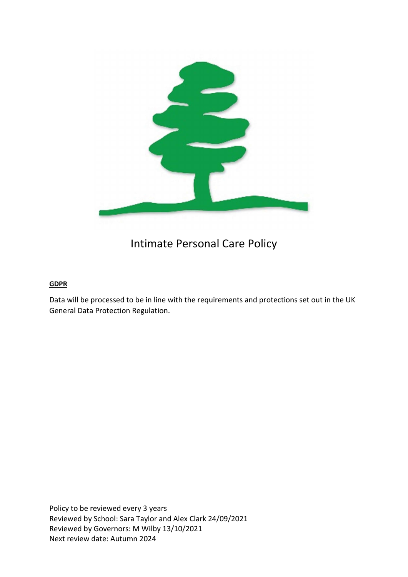

## Intimate Personal Care Policy

#### **GDPR**

Data will be processed to be in line with the requirements and protections set out in the UK General Data Protection Regulation.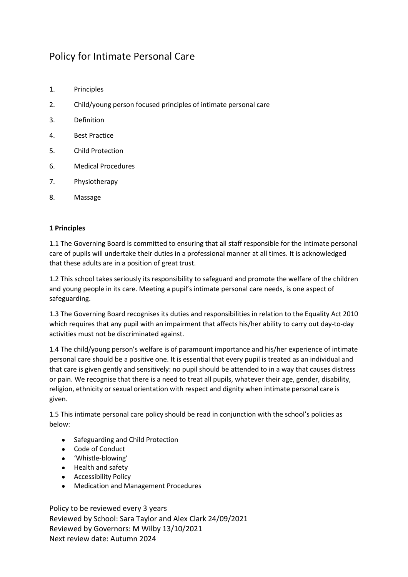### Policy for Intimate Personal Care

- 1. Principles
- 2. Child/young person focused principles of intimate personal care
- 3. Definition
- 4. Best Practice
- 5. Child Protection
- 6. Medical Procedures
- 7. Physiotherapy
- 8. Massage

#### 1 Principles

1.1 The Governing Board is committed to ensuring that all staff responsible for the intimate personal care of pupils will undertake their duties in a professional manner at all times. It is acknowledged that these adults are in a position of great trust.

1.2 This school takes seriously its responsibility to safeguard and promote the welfare of the children and young people in its care. Meeting a pupil's intimate personal care needs, is one aspect of safeguarding.

1.3 The Governing Board recognises its duties and responsibilities in relation to the Equality Act 2010 which requires that any pupil with an impairment that affects his/her ability to carry out day-to-day activities must not be discriminated against.

1.4 The child/young person's welfare is of paramount importance and his/her experience of intimate personal care should be a positive one. It is essential that every pupil is treated as an individual and that care is given gently and sensitively: no pupil should be attended to in a way that causes distress or pain. We recognise that there is a need to treat all pupils, whatever their age, gender, disability, religion, ethnicity or sexual orientation with respect and dignity when intimate personal care is given.

1.5 This intimate personal care policy should be read in conjunction with the school's policies as below:

- Safeguarding and Child Protection
- Code of Conduct
- 'Whistle-blowing'
- Health and safety
- Accessibility Policy
- Medication and Management Procedures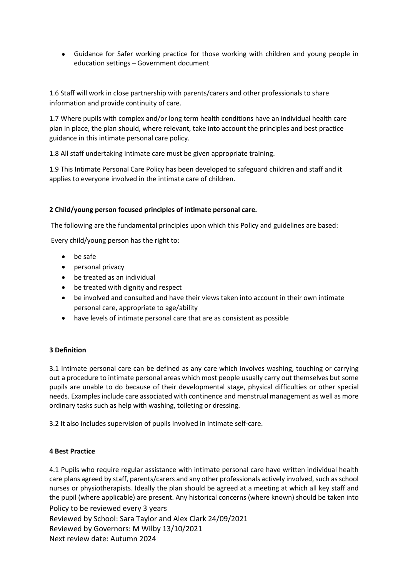Guidance for Safer working practice for those working with children and young people in education settings – Government document

1.6 Staff will work in close partnership with parents/carers and other professionals to share information and provide continuity of care.

1.7 Where pupils with complex and/or long term health conditions have an individual health care plan in place, the plan should, where relevant, take into account the principles and best practice guidance in this intimate personal care policy.

1.8 All staff undertaking intimate care must be given appropriate training.

1.9 This Intimate Personal Care Policy has been developed to safeguard children and staff and it applies to everyone involved in the intimate care of children.

#### 2 Child/young person focused principles of intimate personal care.

The following are the fundamental principles upon which this Policy and guidelines are based:

Every child/young person has the right to:

- be safe
- personal privacy
- be treated as an individual
- be treated with dignity and respect
- be involved and consulted and have their views taken into account in their own intimate personal care, appropriate to age/ability
- have levels of intimate personal care that are as consistent as possible

#### 3 Definition

3.1 Intimate personal care can be defined as any care which involves washing, touching or carrying out a procedure to intimate personal areas which most people usually carry out themselves but some pupils are unable to do because of their developmental stage, physical difficulties or other special needs. Examples include care associated with continence and menstrual management as well as more ordinary tasks such as help with washing, toileting or dressing.

3.2 It also includes supervision of pupils involved in intimate self-care.

#### 4 Best Practice

Policy to be reviewed every 3 years Reviewed by School: Sara Taylor and Alex Clark 24/09/2021 Reviewed by Governors: M Wilby 13/10/2021 Next review date: Autumn 2024 4.1 Pupils who require regular assistance with intimate personal care have written individual health care plans agreed by staff, parents/carers and any other professionals actively involved, such as school nurses or physiotherapists. Ideally the plan should be agreed at a meeting at which all key staff and the pupil (where applicable) are present. Any historical concerns (where known) should be taken into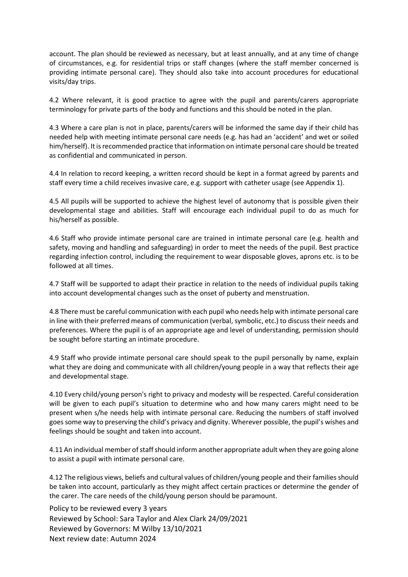account. The plan should be reviewed as necessary, but at least annually, and at any time of change of circumstances, e.g. for residential trips or staff changes (where the staff member concerned is providing intimate personal care). They should also take into account procedures for educational visits/day trips.

4.2 Where relevant, it is good practice to agree with the pupil and parents/carers appropriate terminology for private parts of the body and functions and this should be noted in the plan.

4.3 Where a care plan is not in place, parents/carers will be informed the same day if their child has needed help with meeting intimate personal care needs (e.g. has had an 'accident' and wet or soiled him/herself). It is recommended practice that information on intimate personal care should be treated as confidential and communicated in person.

4.4 In relation to record keeping, a written record should be kept in a format agreed by parents and staff every time a child receives invasive care, e.g. support with catheter usage (see Appendix 1).

4.5 All pupils will be supported to achieve the highest level of autonomy that is possible given their developmental stage and abilities. Staff will encourage each individual pupil to do as much for his/herself as possible.

4.6 Staff who provide intimate personal care are trained in intimate personal care (e.g. health and safety, moving and handling and safeguarding) in order to meet the needs of the pupil. Best practice regarding infection control, including the requirement to wear disposable gloves, aprons etc. is to be followed at all times.

4.7 Staff will be supported to adapt their practice in relation to the needs of individual pupils taking into account developmental changes such as the onset of puberty and menstruation.

4.8 There must be careful communication with each pupil who needs help with intimate personal care in line with their preferred means of communication (verbal, symbolic, etc.) to discuss their needs and preferences. Where the pupil is of an appropriate age and level of understanding, permission should be sought before starting an intimate procedure.

4.9 Staff who provide intimate personal care should speak to the pupil personally by name, explain what they are doing and communicate with all children/young people in a way that reflects their age and developmental stage.

4.10 Every child/young person's right to privacy and modesty will be respected. Careful consideration will be given to each pupil's situation to determine who and how many carers might need to be present when s/he needs help with intimate personal care. Reducing the numbers of staff involved goes some way to preserving the child's privacy and dignity. Wherever possible, the pupil's wishes and feelings should be sought and taken into account.

4.11 An individual member of staff should inform another appropriate adult when they are going alone to assist a pupil with intimate personal care.

4.12 The religious views, beliefs and cultural values of children/young people and their families should be taken into account, particularly as they might affect certain practices or determine the gender of the carer. The care needs of the child/young person should be paramount.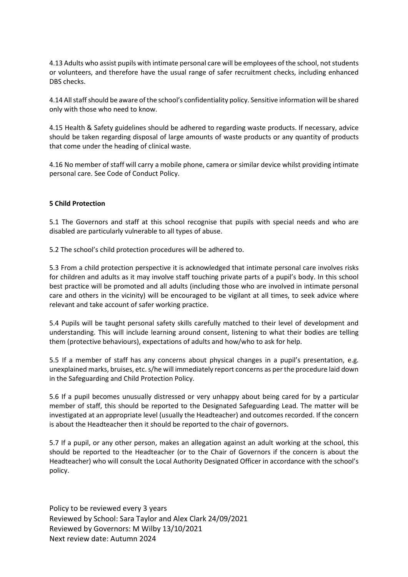4.13 Adults who assist pupils with intimate personal care will be employees of the school, not students or volunteers, and therefore have the usual range of safer recruitment checks, including enhanced DBS checks.

4.14 All staff should be aware of the school's confidentiality policy. Sensitive information will be shared only with those who need to know.

4.15 Health & Safety guidelines should be adhered to regarding waste products. If necessary, advice should be taken regarding disposal of large amounts of waste products or any quantity of products that come under the heading of clinical waste.

4.16 No member of staff will carry a mobile phone, camera or similar device whilst providing intimate personal care. See Code of Conduct Policy.

#### 5 Child Protection

5.1 The Governors and staff at this school recognise that pupils with special needs and who are disabled are particularly vulnerable to all types of abuse.

5.2 The school's child protection procedures will be adhered to.

5.3 From a child protection perspective it is acknowledged that intimate personal care involves risks for children and adults as it may involve staff touching private parts of a pupil's body. In this school best practice will be promoted and all adults (including those who are involved in intimate personal care and others in the vicinity) will be encouraged to be vigilant at all times, to seek advice where relevant and take account of safer working practice.

5.4 Pupils will be taught personal safety skills carefully matched to their level of development and understanding. This will include learning around consent, listening to what their bodies are telling them (protective behaviours), expectations of adults and how/who to ask for help.

5.5 If a member of staff has any concerns about physical changes in a pupil's presentation, e.g. unexplained marks, bruises, etc. s/he will immediately report concerns as per the procedure laid down in the Safeguarding and Child Protection Policy.

5.6 If a pupil becomes unusually distressed or very unhappy about being cared for by a particular member of staff, this should be reported to the Designated Safeguarding Lead. The matter will be investigated at an appropriate level (usually the Headteacher) and outcomes recorded. If the concern is about the Headteacher then it should be reported to the chair of governors.

5.7 If a pupil, or any other person, makes an allegation against an adult working at the school, this should be reported to the Headteacher (or to the Chair of Governors if the concern is about the Headteacher) who will consult the Local Authority Designated Officer in accordance with the school's policy.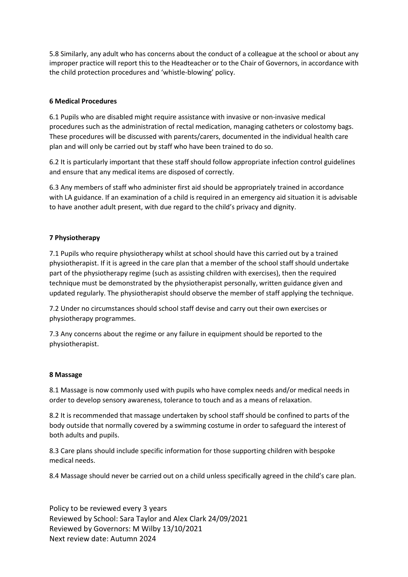5.8 Similarly, any adult who has concerns about the conduct of a colleague at the school or about any improper practice will report this to the Headteacher or to the Chair of Governors, in accordance with the child protection procedures and 'whistle-blowing' policy.

#### 6 Medical Procedures

6.1 Pupils who are disabled might require assistance with invasive or non-invasive medical procedures such as the administration of rectal medication, managing catheters or colostomy bags. These procedures will be discussed with parents/carers, documented in the individual health care plan and will only be carried out by staff who have been trained to do so.

6.2 It is particularly important that these staff should follow appropriate infection control guidelines and ensure that any medical items are disposed of correctly.

6.3 Any members of staff who administer first aid should be appropriately trained in accordance with LA guidance. If an examination of a child is required in an emergency aid situation it is advisable to have another adult present, with due regard to the child's privacy and dignity.

#### 7 Physiotherapy

7.1 Pupils who require physiotherapy whilst at school should have this carried out by a trained physiotherapist. If it is agreed in the care plan that a member of the school staff should undertake part of the physiotherapy regime (such as assisting children with exercises), then the required technique must be demonstrated by the physiotherapist personally, written guidance given and updated regularly. The physiotherapist should observe the member of staff applying the technique.

7.2 Under no circumstances should school staff devise and carry out their own exercises or physiotherapy programmes.

7.3 Any concerns about the regime or any failure in equipment should be reported to the physiotherapist.

#### 8 Massage

8.1 Massage is now commonly used with pupils who have complex needs and/or medical needs in order to develop sensory awareness, tolerance to touch and as a means of relaxation.

8.2 It is recommended that massage undertaken by school staff should be confined to parts of the body outside that normally covered by a swimming costume in order to safeguard the interest of both adults and pupils.

8.3 Care plans should include specific information for those supporting children with bespoke medical needs.

8.4 Massage should never be carried out on a child unless specifically agreed in the child's care plan.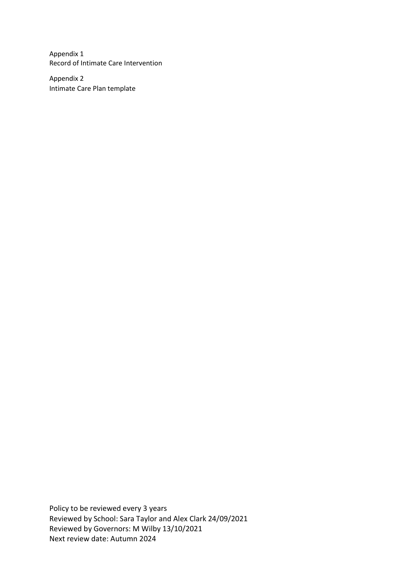Appendix 1 Record of Intimate Care Intervention

Appendix 2 Intimate Care Plan template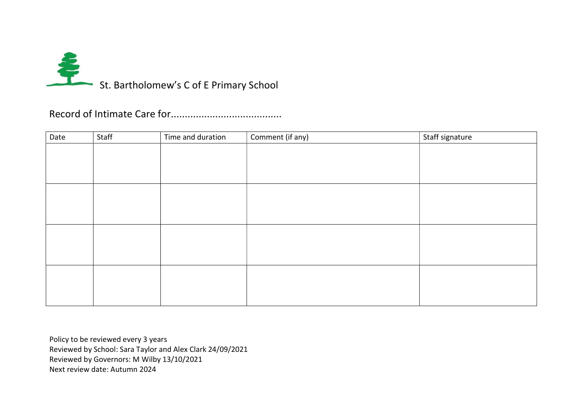

Record of Intimate Care for........................................

| Date | Staff | Time and duration | Comment (if any) | Staff signature |
|------|-------|-------------------|------------------|-----------------|
|      |       |                   |                  |                 |
|      |       |                   |                  |                 |
|      |       |                   |                  |                 |
|      |       |                   |                  |                 |
|      |       |                   |                  |                 |
|      |       |                   |                  |                 |
|      |       |                   |                  |                 |
|      |       |                   |                  |                 |
|      |       |                   |                  |                 |
|      |       |                   |                  |                 |
|      |       |                   |                  |                 |
|      |       |                   |                  |                 |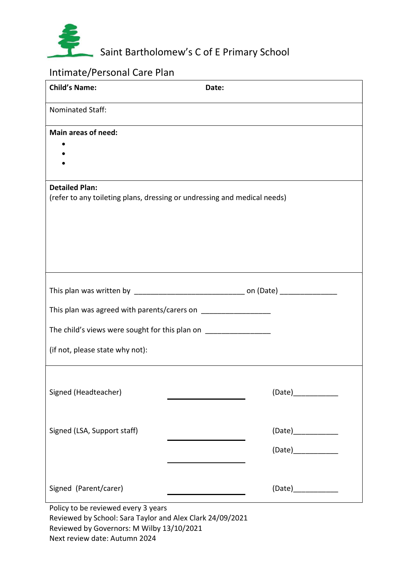

# Saint Bartholomew's C of E Primary School

### Intimate/Personal Care Plan

| <b>Child's Name:</b>                                               | Date:                                                                    |  |  |  |  |
|--------------------------------------------------------------------|--------------------------------------------------------------------------|--|--|--|--|
| Nominated Staff:                                                   |                                                                          |  |  |  |  |
| Main areas of need:                                                |                                                                          |  |  |  |  |
| <b>Detailed Plan:</b>                                              |                                                                          |  |  |  |  |
|                                                                    | (refer to any toileting plans, dressing or undressing and medical needs) |  |  |  |  |
|                                                                    |                                                                          |  |  |  |  |
| This plan was agreed with parents/carers on ______________________ |                                                                          |  |  |  |  |
| The child's views were sought for this plan on ___________________ |                                                                          |  |  |  |  |
| (if not, please state why not):                                    |                                                                          |  |  |  |  |
| Signed (Headteacher)                                               | (Date)_____________                                                      |  |  |  |  |
| Signed (LSA, Support staff)                                        | (Date)                                                                   |  |  |  |  |
|                                                                    |                                                                          |  |  |  |  |
| Signed (Parent/carer)                                              | (Date)____________                                                       |  |  |  |  |